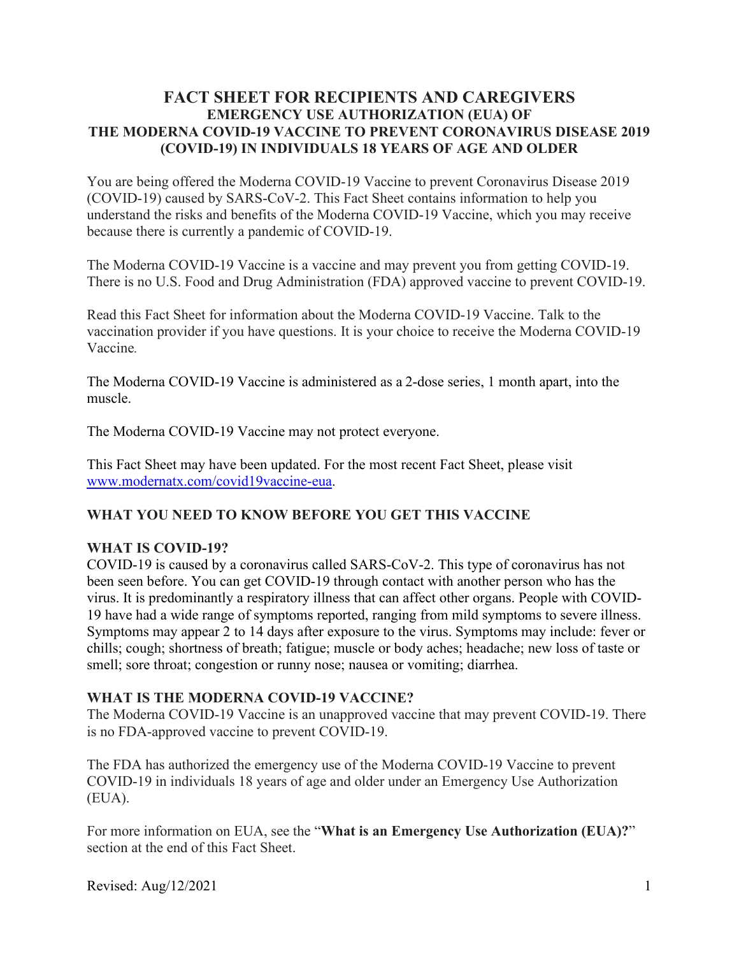### **FACT SHEET FOR RECIPIENTS AND CAREGIVERS EMERGENCY USE AUTHORIZATION (EUA) OF THE MODERNA COVID-19 VACCINE TO PREVENT CORONAVIRUS DISEASE 2019 (COVID-19) IN INDIVIDUALS 18 YEARS OF AGE AND OLDER**

You are being offered the Moderna COVID-19 Vaccine to prevent Coronavirus Disease 2019 (COVID-19) caused by SARS-CoV-2. This Fact Sheet contains information to help you understand the risks and benefits of the Moderna COVID-19 Vaccine, which you may receive because there is currently a pandemic of COVID-19.

The Moderna COVID-19 Vaccine is a vaccine and may prevent you from getting COVID-19. There is no U.S. Food and Drug Administration (FDA) approved vaccine to prevent COVID-19.

Read this Fact Sheet for information about the Moderna COVID-19 Vaccine. Talk to the vaccination provider if you have questions. It is your choice to receive the Moderna COVID-19 Vaccine*.*

The Moderna COVID-19 Vaccine is administered as a 2-dose series, 1 month apart, into the muscle.

The Moderna COVID-19 Vaccine may not protect everyone.

This Fact Sheet may have been updated. For the most recent Fact Sheet, please visit www.modernatx.com/covid19vaccine-eua.

### **WHAT YOU NEED TO KNOW BEFORE YOU GET THIS VACCINE**

#### **WHAT IS COVID-19?**

COVID-19 is caused by a coronavirus called SARS-CoV-2. This type of coronavirus has not been seen before. You can get COVID-19 through contact with another person who has the virus. It is predominantly a respiratory illness that can affect other organs. People with COVID-19 have had a wide range of symptoms reported, ranging from mild symptoms to severe illness. Symptoms may appear 2 to 14 days after exposure to the virus. Symptoms may include: fever or chills; cough; shortness of breath; fatigue; muscle or body aches; headache; new loss of taste or smell; sore throat; congestion or runny nose; nausea or vomiting; diarrhea.

### **WHAT IS THE MODERNA COVID-19 VACCINE?**

The Moderna COVID-19 Vaccine is an unapproved vaccine that may prevent COVID-19. There is no FDA-approved vaccine to prevent COVID-19.

The FDA has authorized the emergency use of the Moderna COVID-19 Vaccine to prevent COVID-19 in individuals 18 years of age and older under an Emergency Use Authorization (EUA).

For more information on EUA, see the "**What is an Emergency Use Authorization (EUA)?**" section at the end of this Fact Sheet.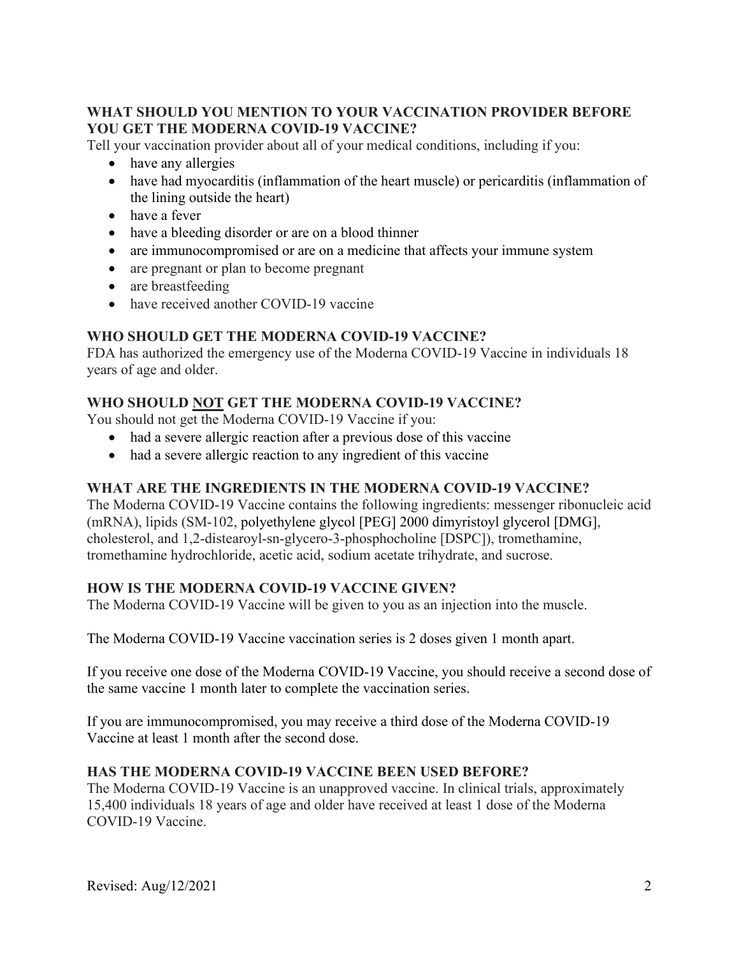### **WHAT SHOULD YOU MENTION TO YOUR VACCINATION PROVIDER BEFORE YOU GET THE MODERNA COVID-19 VACCINE?**

Tell your vaccination provider about all of your medical conditions, including if you:

- have any allergies
- have had myocarditis (inflammation of the heart muscle) or pericarditis (inflammation of the lining outside the heart)
- have a fever
- have a bleeding disorder or are on a blood thinner
- are immunocompromised or are on a medicine that affects your immune system
- are pregnant or plan to become pregnant
- are breastfeeding
- have received another COVID-19 vaccine

# **WHO SHOULD GET THE MODERNA COVID-19 VACCINE?**

FDA has authorized the emergency use of the Moderna COVID-19 Vaccine in individuals 18 years of age and older.

# **WHO SHOULD NOT GET THE MODERNA COVID-19 VACCINE?**

You should not get the Moderna COVID-19 Vaccine if you:

- had a severe allergic reaction after a previous dose of this vaccine
- had a severe allergic reaction to any ingredient of this vaccine

# **WHAT ARE THE INGREDIENTS IN THE MODERNA COVID-19 VACCINE?**

The Moderna COVID-19 Vaccine contains the following ingredients: messenger ribonucleic acid (mRNA), lipids (SM-102, polyethylene glycol [PEG] 2000 dimyristoyl glycerol [DMG], cholesterol, and 1,2-distearoyl-sn-glycero-3-phosphocholine [DSPC]), tromethamine, tromethamine hydrochloride, acetic acid, sodium acetate trihydrate, and sucrose.

# **HOW IS THE MODERNA COVID-19 VACCINE GIVEN?**

The Moderna COVID-19 Vaccine will be given to you as an injection into the muscle.

The Moderna COVID-19 Vaccine vaccination series is 2 doses given 1 month apart.

If you receive one dose of the Moderna COVID-19 Vaccine, you should receive a second dose of the same vaccine 1 month later to complete the vaccination series.

If you are immunocompromised, you may receive a third dose of the Moderna COVID-19 Vaccine at least 1 month after the second dose.

# **HAS THE MODERNA COVID-19 VACCINE BEEN USED BEFORE?**

The Moderna COVID-19 Vaccine is an unapproved vaccine. In clinical trials, approximately 15,400 individuals 18 years of age and older have received at least 1 dose of the Moderna COVID-19 Vaccine.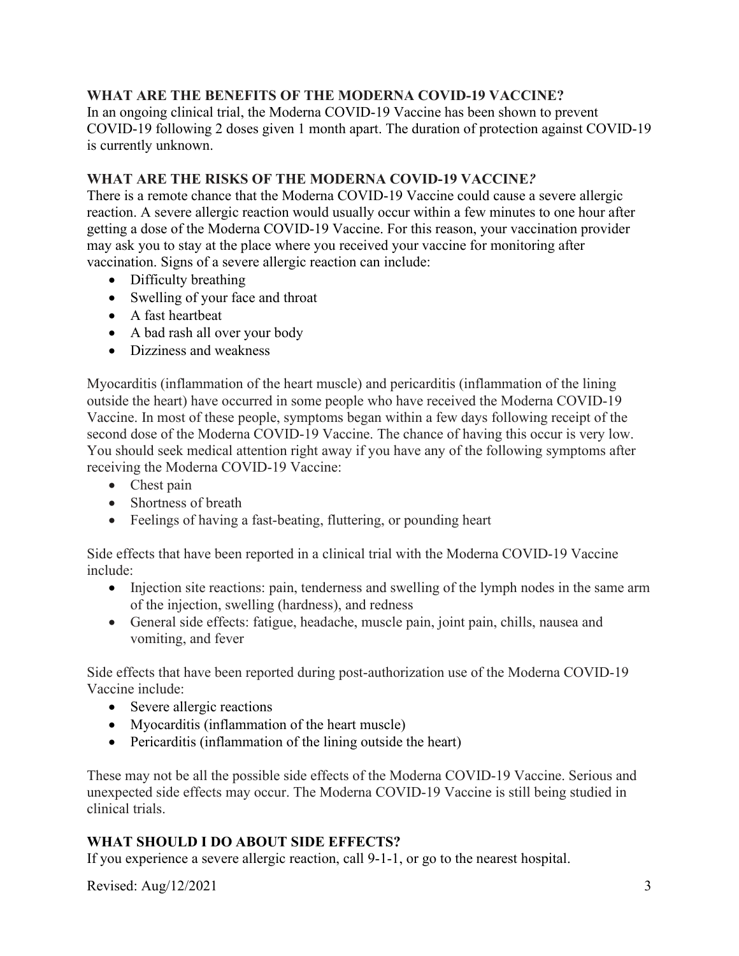### **WHAT ARE THE BENEFITS OF THE MODERNA COVID-19 VACCINE?**

In an ongoing clinical trial, the Moderna COVID-19 Vaccine has been shown to prevent COVID-19 following 2 doses given 1 month apart. The duration of protection against COVID-19 is currently unknown.

### **WHAT ARE THE RISKS OF THE MODERNA COVID-19 VACCINE***?*

There is a remote chance that the Moderna COVID-19 Vaccine could cause a severe allergic reaction. A severe allergic reaction would usually occur within a few minutes to one hour after getting a dose of the Moderna COVID-19 Vaccine. For this reason, your vaccination provider may ask you to stay at the place where you received your vaccine for monitoring after vaccination. Signs of a severe allergic reaction can include:

- Difficulty breathing
- Swelling of your face and throat
- A fast heartbeat
- A bad rash all over your body
- Dizziness and weakness

Myocarditis (inflammation of the heart muscle) and pericarditis (inflammation of the lining outside the heart) have occurred in some people who have received the Moderna COVID-19 Vaccine. In most of these people, symptoms began within a few days following receipt of the second dose of the Moderna COVID-19 Vaccine. The chance of having this occur is very low. You should seek medical attention right away if you have any of the following symptoms after receiving the Moderna COVID-19 Vaccine:

- Chest pain
- Shortness of breath
- Feelings of having a fast-beating, fluttering, or pounding heart

Side effects that have been reported in a clinical trial with the Moderna COVID-19 Vaccine include:

- Injection site reactions: pain, tenderness and swelling of the lymph nodes in the same arm of the injection, swelling (hardness), and redness
- General side effects: fatigue, headache, muscle pain, joint pain, chills, nausea and vomiting, and fever

Side effects that have been reported during post-authorization use of the Moderna COVID-19 Vaccine include:

- Severe allergic reactions
- Myocarditis (inflammation of the heart muscle)
- Pericarditis (inflammation of the lining outside the heart)

These may not be all the possible side effects of the Moderna COVID-19 Vaccine. Serious and unexpected side effects may occur. The Moderna COVID-19 Vaccine is still being studied in clinical trials.

# **WHAT SHOULD I DO ABOUT SIDE EFFECTS?**

If you experience a severe allergic reaction, call 9-1-1, or go to the nearest hospital.

Revised:  $\text{Aug}/12/2021$  3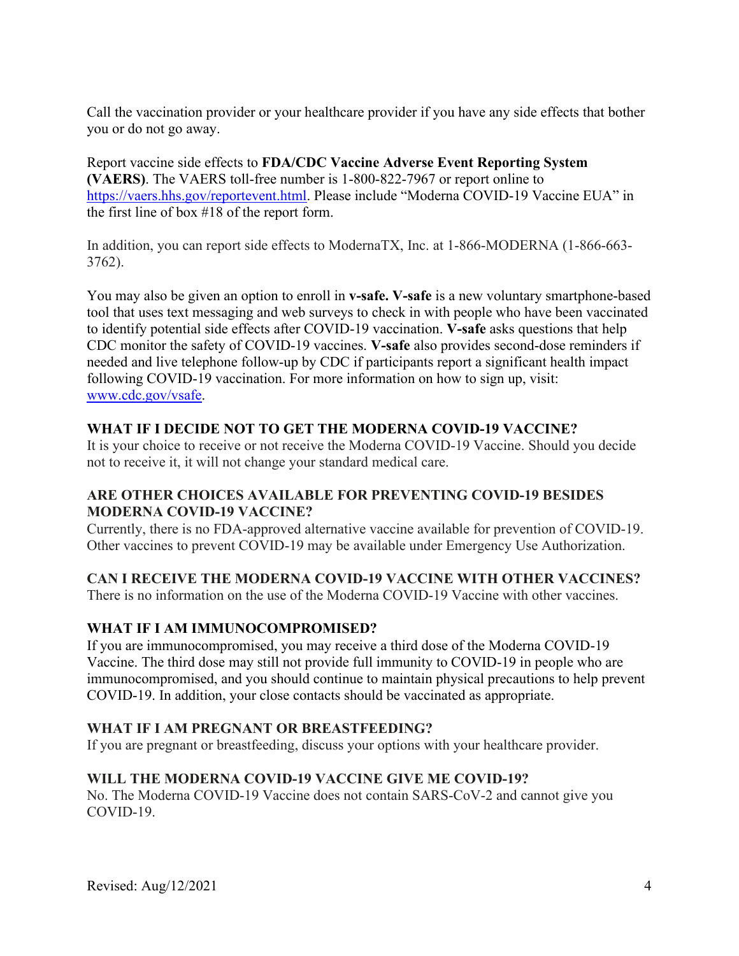Call the vaccination provider or your healthcare provider if you have any side effects that bother you or do not go away.

Report vaccine side effects to **FDA/CDC Vaccine Adverse Event Reporting System (VAERS)**. The VAERS toll-free number is 1-800-822-7967 or report online to https://vaers.hhs.gov/reportevent.html. Please include "Moderna COVID-19 Vaccine EUA" in the first line of box #18 of the report form.

In addition, you can report side effects to ModernaTX, Inc. at 1-866-MODERNA (1-866-663- 3762).

You may also be given an option to enroll in **v-safe. V-safe** is a new voluntary smartphone-based tool that uses text messaging and web surveys to check in with people who have been vaccinated to identify potential side effects after COVID-19 vaccination. **V-safe** asks questions that help CDC monitor the safety of COVID-19 vaccines. **V-safe** also provides second-dose reminders if needed and live telephone follow-up by CDC if participants report a significant health impact following COVID-19 vaccination. For more information on how to sign up, visit: www.cdc.gov/vsafe.

# **WHAT IF I DECIDE NOT TO GET THE MODERNA COVID-19 VACCINE?**

It is your choice to receive or not receive the Moderna COVID-19 Vaccine. Should you decide not to receive it, it will not change your standard medical care.

### **ARE OTHER CHOICES AVAILABLE FOR PREVENTING COVID-19 BESIDES MODERNA COVID-19 VACCINE?**

Currently, there is no FDA-approved alternative vaccine available for prevention of COVID-19. Other vaccines to prevent COVID-19 may be available under Emergency Use Authorization.

# **CAN I RECEIVE THE MODERNA COVID-19 VACCINE WITH OTHER VACCINES?**

There is no information on the use of the Moderna COVID-19 Vaccine with other vaccines.

# **WHAT IF I AM IMMUNOCOMPROMISED?**

If you are immunocompromised, you may receive a third dose of the Moderna COVID-19 Vaccine. The third dose may still not provide full immunity to COVID-19 in people who are immunocompromised, and you should continue to maintain physical precautions to help prevent COVID-19. In addition, your close contacts should be vaccinated as appropriate.

### **WHAT IF I AM PREGNANT OR BREASTFEEDING?**

If you are pregnant or breastfeeding, discuss your options with your healthcare provider.

# **WILL THE MODERNA COVID-19 VACCINE GIVE ME COVID-19?**

No. The Moderna COVID-19 Vaccine does not contain SARS-CoV-2 and cannot give you COVID-19.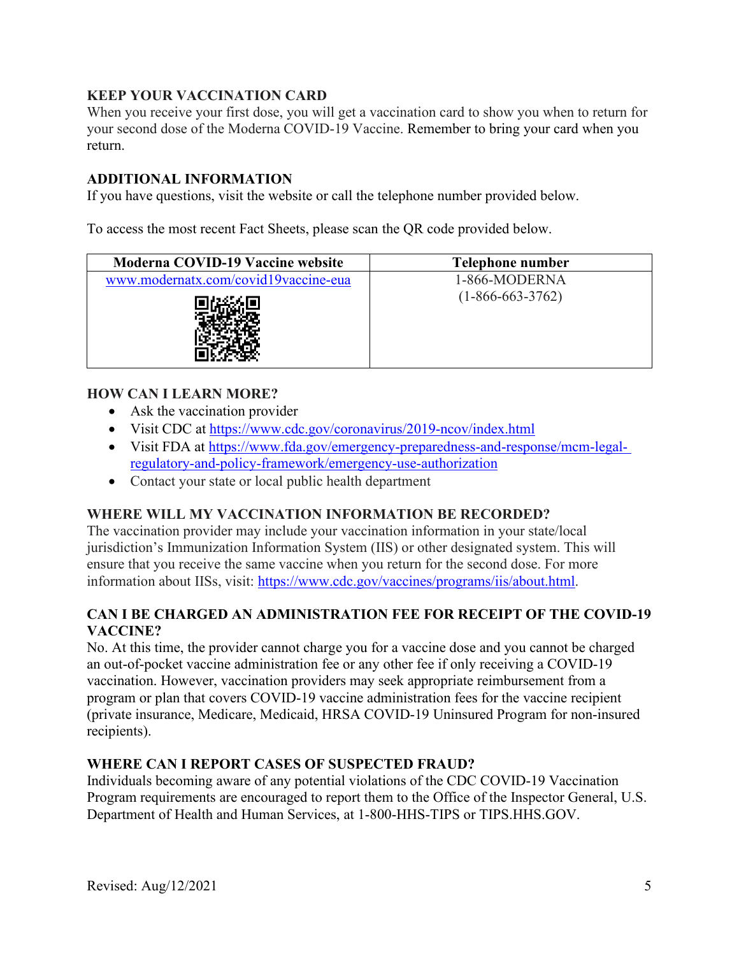# **KEEP YOUR VACCINATION CARD**

When you receive your first dose, you will get a vaccination card to show you when to return for your second dose of the Moderna COVID-19 Vaccine. Remember to bring your card when you return.

### **ADDITIONAL INFORMATION**

If you have questions, visit the website or call the telephone number provided below.

To access the most recent Fact Sheets, please scan the QR code provided below.

| Moderna COVID-19 Vaccine website     | Telephone number   |
|--------------------------------------|--------------------|
| www.modernatx.com/covid19vaccine-eua | 1-866-MODERNA      |
|                                      | $(1-866-663-3762)$ |

### **HOW CAN I LEARN MORE?**

- Ask the vaccination provider
- Visit CDC at https://www.cdc.gov/coronavirus/2019-ncov/index.html
- Visit FDA at https://www.fda.gov/emergency-preparedness-and-response/mcm-legalregulatory-and-policy-framework/emergency-use-authorization
- Contact your state or local public health department

### **WHERE WILL MY VACCINATION INFORMATION BE RECORDED?**

The vaccination provider may include your vaccination information in your state/local jurisdiction's Immunization Information System (IIS) or other designated system. This will ensure that you receive the same vaccine when you return for the second dose. For more information about IISs, visit: https://www.cdc.gov/vaccines/programs/iis/about.html.

### **CAN I BE CHARGED AN ADMINISTRATION FEE FOR RECEIPT OF THE COVID-19 VACCINE?**

No. At this time, the provider cannot charge you for a vaccine dose and you cannot be charged an out-of-pocket vaccine administration fee or any other fee if only receiving a COVID-19 vaccination. However, vaccination providers may seek appropriate reimbursement from a program or plan that covers COVID-19 vaccine administration fees for the vaccine recipient (private insurance, Medicare, Medicaid, HRSA COVID-19 Uninsured Program for non-insured recipients).

### **WHERE CAN I REPORT CASES OF SUSPECTED FRAUD?**

Individuals becoming aware of any potential violations of the CDC COVID-19 Vaccination Program requirements are encouraged to report them to the Office of the Inspector General, U.S. Department of Health and Human Services, at 1-800-HHS-TIPS or TIPS.HHS.GOV.